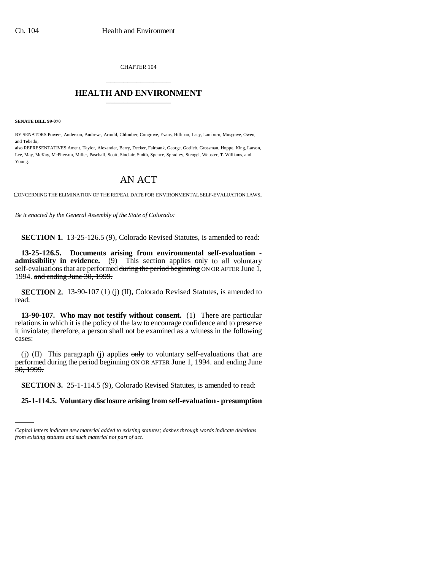CHAPTER 104 \_\_\_\_\_\_\_\_\_\_\_\_\_\_\_

## **HEALTH AND ENVIRONMENT** \_\_\_\_\_\_\_\_\_\_\_\_\_\_\_

**SENATE BILL 99-070** 

BY SENATORS Powers, Anderson, Andrews, Arnold, Chlouber, Congrove, Evans, Hillman, Lacy, Lamborn, Musgrave, Owen, and Tebedo;

also REPRESENTATIVES Ament, Taylor, Alexander, Berry, Decker, Fairbank, George, Gotlieb, Grossman, Hoppe, King, Larson, Lee, May, McKay, McPherson, Miller, Paschall, Scott, Sinclair, Smith, Spence, Spradley, Stengel, Webster, T. Williams, and Young.

## AN ACT

CONCERNING THE ELIMINATION OF THE REPEAL DATE FOR ENVIRONMENTAL SELF-EVALUATION LAWS.

*Be it enacted by the General Assembly of the State of Colorado:*

**SECTION 1.** 13-25-126.5 (9), Colorado Revised Statutes, is amended to read:

**13-25-126.5. Documents arising from environmental self-evaluation admissibility in evidence.** (9) This section applies only to all voluntary self-evaluations that are performed during the period beginning ON OR AFTER June 1, 1994. and ending June 30, 1999.

**SECTION 2.** 13-90-107 (1) (j) (II), Colorado Revised Statutes, is amended to read:

**13-90-107. Who may not testify without consent.** (1) There are particular relations in which it is the policy of the law to encourage confidence and to preserve it inviolate; therefore, a person shall not be examined as a witness in the following cases:

(j) (II) This paragraph (j) applies  $\frac{1}{\text{cm}}$  to voluntary self-evaluations that are performed during the period beginning ON OR AFTER June 1, 1994. and ending June 30, 1999.

**SECTION 3.** 25-1-114.5 (9), Colorado Revised Statutes, is amended to read:

**25-1-114.5. Voluntary disclosure arising from self-evaluation - presumption**

*Capital letters indicate new material added to existing statutes; dashes through words indicate deletions from existing statutes and such material not part of act.*